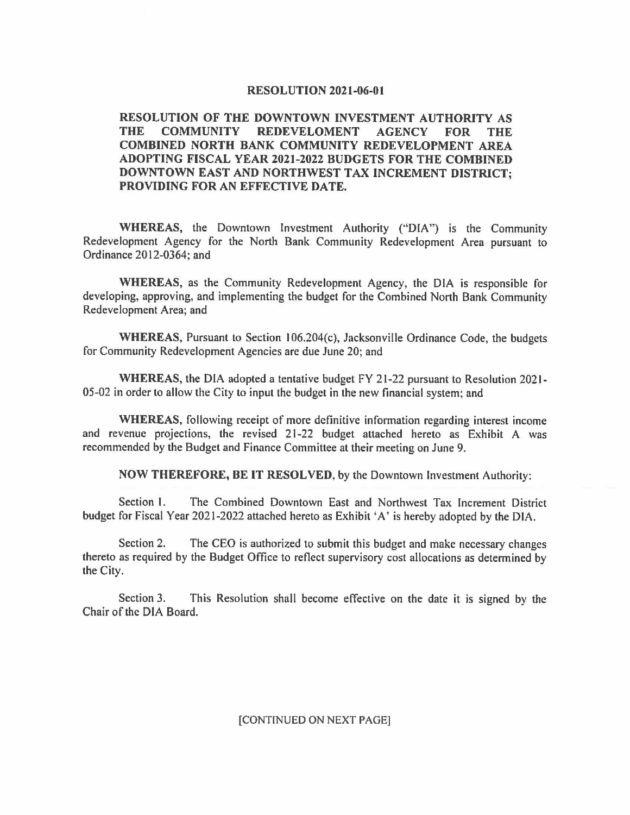## **RESOLUTION 2021-06-01**

## **RESOLUTION OF THE DOWNTOWN INVESTMENT AUTHORITY AS<br>THE COMMUNITY REDEVELOMENT AGENCY FOR THE COMMUNITY REDEVELOMENT AGENCY FOR THE COMBINED NORTH BANK COMMUNITY REDEVELOPMENT AREA ADOPTING FISCAL YEAR 2021-2022 BUDGETS FOR THE COMBINED DOWNTOWN EAST AND NORTHWEST TAX INCREMENT DISTRICT; PROVIDING FOR AN EFFECTIVE DATE.**

**WHEREAS,** the Downtown Investment Authority ("DIA") is the Community Redevelopment Agency for the North Bank Community Redevelopment Area pursuant to Ordinance 2012-0364; and

**WHEREAS,** as the Community Redevelopment Agency, the DIA is responsible for developing, approving, and implementing the budget for the Combined North Bank Community Redevelopment Area; and

WHEREAS, Pursuant to Section 106.204(c), Jacksonville Ordinance Code, the budgets for Community Redevelopment Agencies are due June 20; and

**WHEREAS,** the DIA adopted a tentative budget FY 21-22 pursuant to Resolution 2021- 05-02 in order to allow the City to input the budget in the new financial system; and

**WHEREAS,** following receipt of more definitive information regarding interest income and revenue projections, the revised 21-22 budget attached hereto as Exhibit A was recommended by the Budget and Finance Committee at their meeting on June 9.

**NOW THEREFORE, BE IT RESOLVED,** by the Downtown Investment Authority:

Section I. The Combined Downtown East and Northwest Tax Increment District budget for Fiscal Year 2021-2022 attached hereto as Exhibit 'A' is hereby adopted by the DIA.

Section 2. The CEO is authorized to submit this budget and make necessary changes thereto as required by the Budget Office to reflect supervisory cost allocations as detennined by the City.

Section 3. This Resolution shall become effective on the date it is signed by the Chair of the DIA Board.

[CONTINUED ON NEXT PAGE]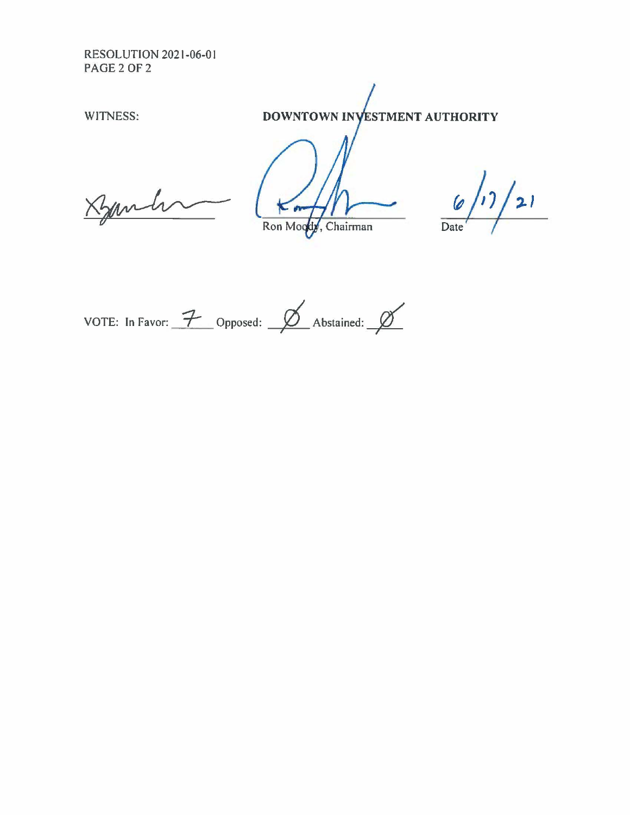**RESOLUTION 2021-06-01 PAGE 2 OF 2** 

WITNESS:

DOWNTOWN INVESTMENT AUTHORITY

Janh

**A** Ron Moody, Chairman

 $\frac{1}{2}$ Date

VOTE: In Favor:  $7$  Opposed:  $6$  Abstained:  $8$